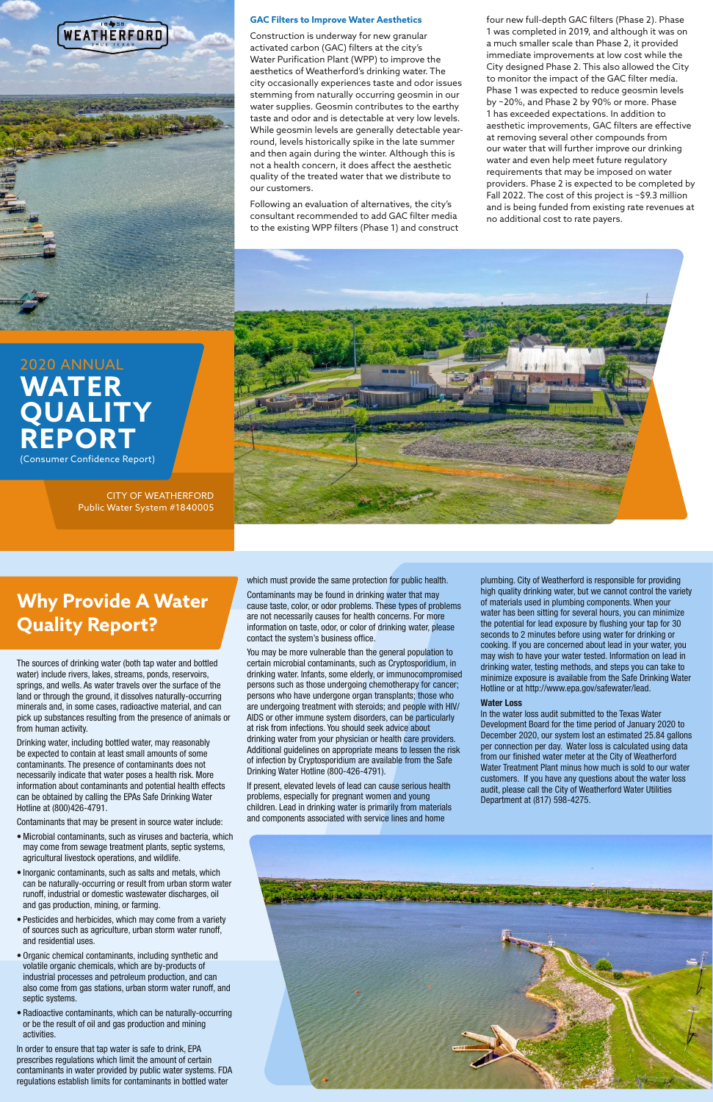The sources of drinking water (both tap water and bottled water) include rivers, lakes, streams, ponds, reservoirs, springs, and wells. As water travels over the surface of the land or through the ground, it dissolves naturally-occurring minerals and, in some cases, radioactive material, and can pick up substances resulting from the presence of animals or from human activity.

Drinking water, including bottled water, may reasonably be expected to contain at least small amounts of some contaminants. The presence of contaminants does not necessarily indicate that water poses a health risk. More information about contaminants and potential health effects can be obtained by calling the EPAs Safe Drinking Water Hotline at (800)426-4791.

Contaminants that may be present in source water include:

- Microbial contaminants, such as viruses and bacteria, which may come from sewage treatment plants, septic systems, agricultural livestock operations, and wildlife.
- Inorganic contaminants, such as salts and metals, which can be naturally-occurring or result from urban storm water runoff, industrial or domestic wastewater discharges, oil and gas production, mining, or farming.
- Pesticides and herbicides, which may come from a variety of sources such as agriculture, urban storm water runoff, and residential uses.
- Organic chemical contaminants, including synthetic and volatile organic chemicals, which are by-products of industrial processes and petroleum production, and can also come from gas stations, urban storm water runoff, and septic systems.
- Radioactive contaminants, which can be naturally-occurring or be the result of oil and gas production and mining activities.

In order to ensure that tap water is safe to drink, EPA prescribes regulations which limit the amount of certain contaminants in water provided by public water systems. FDA regulations establish limits for contaminants in bottled water

You may be more vulnerable than the general population to certain microbial contaminants, such as Cryptosporidium, in drinking water. Infants, some elderly, or immunocompromised persons such as those undergoing chemotherapy for cancer; persons who have undergone organ transplants; those who are undergoing treatment with steroids; and people with HIV/ AIDS or other immune system disorders, can be particularly at risk from infections. You should seek advice about drinking water from your physician or health care providers. Additional guidelines on appropriate means to lessen the risk of infection by Cryptosporidium are available from the Safe Drinking Water Hotline (800-426-4791).

## **GAC Filters to Improve Water Aesthetics**

Construction is underway for new granular activated carbon (GAC) filters at the city's Water Purification Plant (WPP) to improve the aesthetics of Weatherford's drinking water. The city occasionally experiences taste and odor issues stemming from naturally occurring geosmin in our water supplies. Geosmin contributes to the earthy taste and odor and is detectable at very low levels. While geosmin levels are generally detectable yearround, levels historically spike in the late summer and then again during the winter. Although this is not a health concern, it does affect the aesthetic quality of the treated water that we distribute to our customers.

Following an evaluation of alternatives, the city's consultant recommended to add GAC filter media to the existing WPP filters (Phase 1) and construct

# **Why Provide A Water Quality Report?**

which must provide the same protection for public health.

Contaminants may be found in drinking water that may cause taste, color, or odor problems. These types of problems are not necessarily causes for health concerns. For more information on taste, odor, or color of drinking water, please contact the system's business office.

If present, elevated levels of lead can cause serious health problems, especially for pregnant women and young children. Lead in drinking water is primarily from materials

and components associated with service lines and home



plumbing. City of Weatherford is responsible for providing high quality drinking water, but we cannot control the variety of materials used in plumbing components. When your water has been sitting for several hours, you can minimize the potential for lead exposure by flushing your tap for 30 seconds to 2 minutes before using water for drinking or cooking. If you are concerned about lead in your water, you may wish to have your water tested. Information on lead in drinking water, testing methods, and steps you can take to minimize exposure is available from the Safe Drinking Water Hotline or at http://www.epa.gov/safewater/lead.

## Water Loss

In the water loss audit submitted to the Texas Water Development Board for the time period of January 2020 to December 2020, our system lost an estimated 25.84 gallons per connection per day. Water loss is calculated using data from our finished water meter at the City of Weatherford Water Treatment Plant minus how much is sold to our water customers. If you have any questions about the water loss audit, please call the City of Weatherford Water Utilities Department at (817) 598-4275.

four new full-depth GAC filters (Phase 2). Phase 1 was completed in 2019, and although it was on a much smaller scale than Phase 2, it provided immediate improvements at low cost while the City designed Phase 2. This also allowed the City to monitor the impact of the GAC filter media. Phase 1 was expected to reduce geosmin levels by ~20%, and Phase 2 by 90% or more. Phase 1 has exceeded expectations. In addition to aesthetic improvements, GAC filters are effective at removing several other compounds from our water that will further improve our drinking water and even help meet future regulatory requirements that may be imposed on water providers. Phase 2 is expected to be completed by Fall 2022. The cost of this project is ~\$9.3 million and is being funded from existing rate revenues at no additional cost to rate payers.





# 2020 ANNUAL **WATER QUALITY REPORT** (Consumer Confidence Report)

CITY OF WEATHERFORD Public Water System #1840005